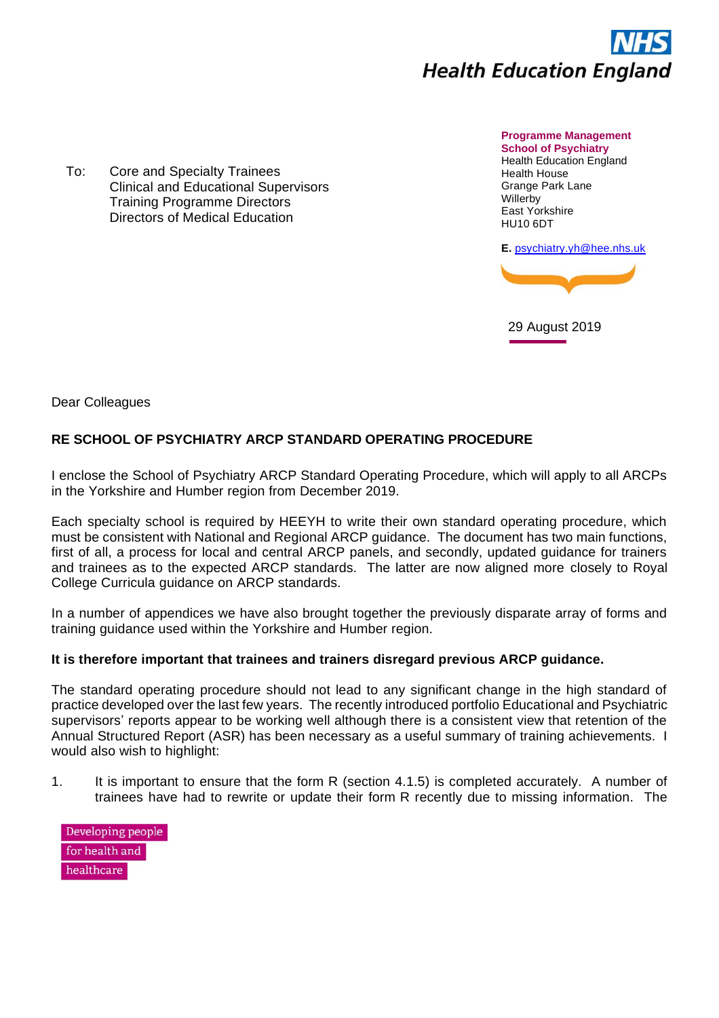

To: Core and Specialty Trainees Clinical and Educational Supervisors Training Programme Directors Directors of Medical Education

**Programme Management School of Psychiatry** Health Education England Health House Grange Park Lane **Willerby** East Yorkshire HU10 6DT

**E.** [psychiatry.yh@hee.nhs.uk](mailto:psychiatry.yh@hee.nhs.uk)



29 August 2019

Dear Colleagues

## **RE SCHOOL OF PSYCHIATRY ARCP STANDARD OPERATING PROCEDURE**

I enclose the School of Psychiatry ARCP Standard Operating Procedure, which will apply to all ARCPs in the Yorkshire and Humber region from December 2019.

Each specialty school is required by HEEYH to write their own standard operating procedure, which must be consistent with National and Regional ARCP guidance. The document has two main functions, first of all, a process for local and central ARCP panels, and secondly, updated guidance for trainers and trainees as to the expected ARCP standards. The latter are now aligned more closely to Royal College Curricula guidance on ARCP standards.

In a number of appendices we have also brought together the previously disparate array of forms and training guidance used within the Yorkshire and Humber region.

## **It is therefore important that trainees and trainers disregard previous ARCP guidance.**

The standard operating procedure should not lead to any significant change in the high standard of practice developed over the last few years. The recently introduced portfolio Educational and Psychiatric supervisors' reports appear to be working well although there is a consistent view that retention of the Annual Structured Report (ASR) has been necessary as a useful summary of training achievements. I would also wish to highlight:

- 1. It is important to ensure that the form R (section 4.1.5) is completed accurately. A number of trainees have had to rewrite or update their form R recently due to missing information. The
	- Developing people for health and healthcare